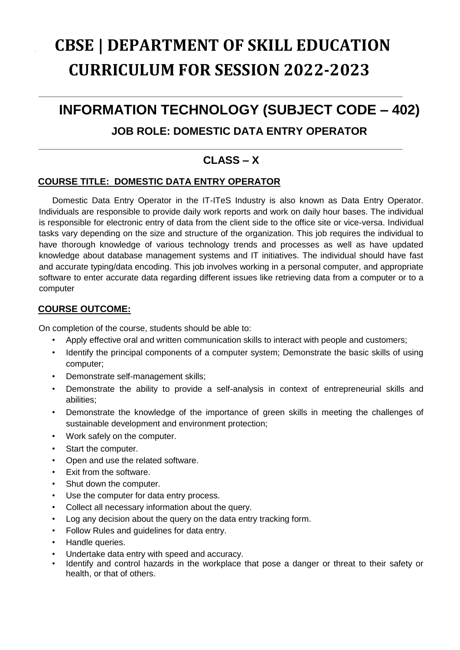# **CBSE | DEPARTMENT OF SKILL EDUCATION CURRICULUM FOR SESSION 2022-2023**

## **INFORMATION TECHNOLOGY (SUBJECT CODE – 402)**

### **JOB ROLE: DOMESTIC DATA ENTRY OPERATOR**

### **CLASS – X**

### **COURSE TITLE: DOMESTIC DATA ENTRY OPERATOR**

Domestic Data Entry Operator in the IT-ITeS Industry is also known as Data Entry Operator. Individuals are responsible to provide daily work reports and work on daily hour bases. The individual is responsible for electronic entry of data from the client side to the office site or vice-versa. Individual tasks vary depending on the size and structure of the organization. This job requires the individual to have thorough knowledge of various technology trends and processes as well as have updated knowledge about database management systems and IT initiatives. The individual should have fast and accurate typing/data encoding. This job involves working in a personal computer, and appropriate software to enter accurate data regarding different issues like retrieving data from a computer or to a computer

### **COURSE OUTCOME:**

On completion of the course, students should be able to:

- Apply effective oral and written communication skills to interact with people and customers;
- Identify the principal components of a computer system; Demonstrate the basic skills of using computer;
- Demonstrate self-management skills;
- Demonstrate the ability to provide a self-analysis in context of entrepreneurial skills and abilities;
- Demonstrate the knowledge of the importance of green skills in meeting the challenges of sustainable development and environment protection;
- Work safely on the computer.
- Start the computer.
- Open and use the related software.
- Exit from the software.
- Shut down the computer.
- Use the computer for data entry process.
- Collect all necessary information about the query.
- Log any decision about the query on the data entry tracking form.
- Follow Rules and guidelines for data entry.
- Handle queries.
- Undertake data entry with speed and accuracy.
- Identify and control hazards in the workplace that pose a danger or threat to their safety or health, or that of others.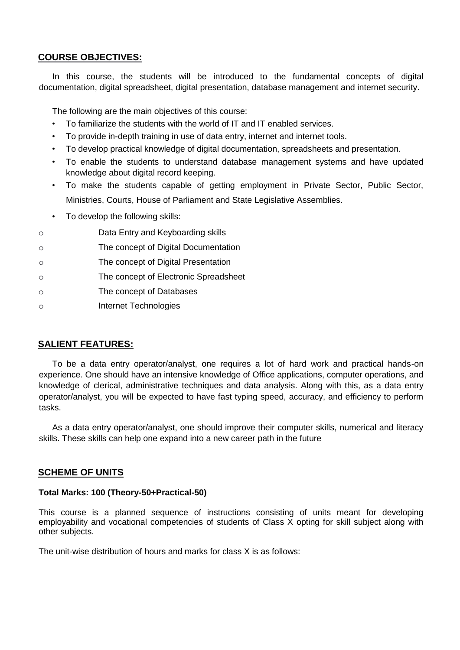### **COURSE OBJECTIVES:**

In this course, the students will be introduced to the fundamental concepts of digital documentation, digital spreadsheet, digital presentation, database management and internet security.

The following are the main objectives of this course:

- To familiarize the students with the world of IT and IT enabled services.
- To provide in-depth training in use of data entry, internet and internet tools.
- To develop practical knowledge of digital documentation, spreadsheets and presentation.
- To enable the students to understand database management systems and have updated knowledge about digital record keeping.
- To make the students capable of getting employment in Private Sector, Public Sector, Ministries, Courts, House of Parliament and State Legislative Assemblies.
- To develop the following skills:
- o Data Entry and Keyboarding skills
- o The concept of Digital Documentation
- o The concept of Digital Presentation
- o The concept of Electronic Spreadsheet
- o The concept of Databases
- o Internet Technologies

### **SALIENT FEATURES:**

To be a data entry operator/analyst, one requires a lot of hard work and practical hands-on experience. One should have an intensive knowledge of Office applications, computer operations, and knowledge of clerical, administrative techniques and data analysis. Along with this, as a data entry operator/analyst, you will be expected to have fast typing speed, accuracy, and efficiency to perform tasks.

As a data entry operator/analyst, one should improve their computer skills, numerical and literacy skills. These skills can help one expand into a new career path in the future

#### **SCHEME OF UNITS**

#### **Total Marks: 100 (Theory-50+Practical-50)**

This course is a planned sequence of instructions consisting of units meant for developing employability and vocational competencies of students of Class X opting for skill subject along with other subjects.

The unit-wise distribution of hours and marks for class X is as follows: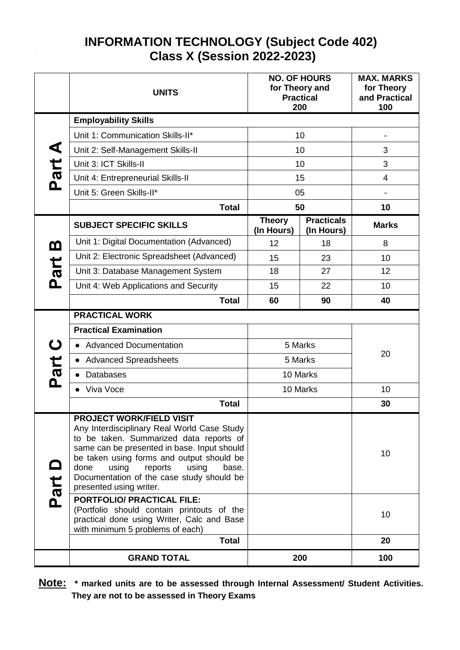### **INFORMATION TECHNOLOGY (Subject Code 402) Class X (Session 2022-2023)**

|          | <b>UNITS</b>                                                                                                                                                                                                                                                                                                                                |                             | <b>NO. OF HOURS</b><br>for Theory and<br><b>Practical</b><br>200 | <b>MAX. MARKS</b><br>for Theory<br>and Practical<br>100 |
|----------|---------------------------------------------------------------------------------------------------------------------------------------------------------------------------------------------------------------------------------------------------------------------------------------------------------------------------------------------|-----------------------------|------------------------------------------------------------------|---------------------------------------------------------|
|          | <b>Employability Skills</b>                                                                                                                                                                                                                                                                                                                 |                             |                                                                  |                                                         |
|          | Unit 1: Communication Skills-II*                                                                                                                                                                                                                                                                                                            |                             | 10                                                               |                                                         |
| ⋖        | Unit 2: Self-Management Skills-II                                                                                                                                                                                                                                                                                                           |                             | 10                                                               | 3                                                       |
|          | Unit 3: ICT Skills-II                                                                                                                                                                                                                                                                                                                       |                             | 10                                                               | 3                                                       |
| Part     | Unit 4: Entrepreneurial Skills-II                                                                                                                                                                                                                                                                                                           |                             | 15                                                               | 4                                                       |
|          | Unit 5: Green Skills-II*                                                                                                                                                                                                                                                                                                                    |                             | 05                                                               | $\qquad \qquad \blacksquare$                            |
|          | <b>Total</b>                                                                                                                                                                                                                                                                                                                                |                             | 50                                                               | 10                                                      |
|          | <b>SUBJECT SPECIFIC SKILLS</b>                                                                                                                                                                                                                                                                                                              | <b>Theory</b><br>(In Hours) | <b>Practicals</b><br>(In Hours)                                  | <b>Marks</b>                                            |
| <u>ന</u> | Unit 1: Digital Documentation (Advanced)                                                                                                                                                                                                                                                                                                    | 12                          | 18                                                               | 8                                                       |
|          | Unit 2: Electronic Spreadsheet (Advanced)                                                                                                                                                                                                                                                                                                   | 15                          | 23                                                               | 10                                                      |
| Part     | Unit 3: Database Management System                                                                                                                                                                                                                                                                                                          | 18                          | 27                                                               | 12                                                      |
|          | Unit 4: Web Applications and Security                                                                                                                                                                                                                                                                                                       | 15                          | 22                                                               | 10                                                      |
|          | <b>Total</b>                                                                                                                                                                                                                                                                                                                                | 60                          | 90                                                               | 40                                                      |
|          | <b>PRACTICAL WORK</b>                                                                                                                                                                                                                                                                                                                       |                             |                                                                  |                                                         |
|          | <b>Practical Examination</b>                                                                                                                                                                                                                                                                                                                |                             |                                                                  |                                                         |
| U        | 5 Marks<br><b>Advanced Documentation</b><br>$\bullet$                                                                                                                                                                                                                                                                                       |                             |                                                                  | 20                                                      |
|          | <b>Advanced Spreadsheets</b><br>$\bullet$                                                                                                                                                                                                                                                                                                   | 5 Marks                     |                                                                  |                                                         |
| Part     | Databases                                                                                                                                                                                                                                                                                                                                   |                             | 10 Marks                                                         |                                                         |
|          | Viva Voce                                                                                                                                                                                                                                                                                                                                   |                             | 10 Marks                                                         | 10                                                      |
|          | <b>Total</b>                                                                                                                                                                                                                                                                                                                                |                             |                                                                  | 30                                                      |
| Part     | <b>PROJECT WORK/FIELD VISIT</b><br>Any Interdisciplinary Real World Case Study<br>to be taken. Summarized data reports of<br>same can be presented in base. Input should<br>be taken using forms and output should be<br>done<br>using<br>reports<br>using<br>base.<br>Documentation of the case study should be<br>presented using writer. |                             |                                                                  | 10                                                      |
|          | <b>PORTFOLIO/ PRACTICAL FILE:</b><br>(Portfolio should contain printouts of the<br>practical done using Writer, Calc and Base<br>with minimum 5 problems of each)                                                                                                                                                                           |                             |                                                                  | 10                                                      |
|          | <b>Total</b>                                                                                                                                                                                                                                                                                                                                |                             |                                                                  | 20                                                      |
|          | <b>GRAND TOTAL</b>                                                                                                                                                                                                                                                                                                                          |                             | 200                                                              | 100                                                     |

**Note: \* marked units are to be assessed through Internal Assessment/ Student Activities. They are not to be assessed in Theory Exams**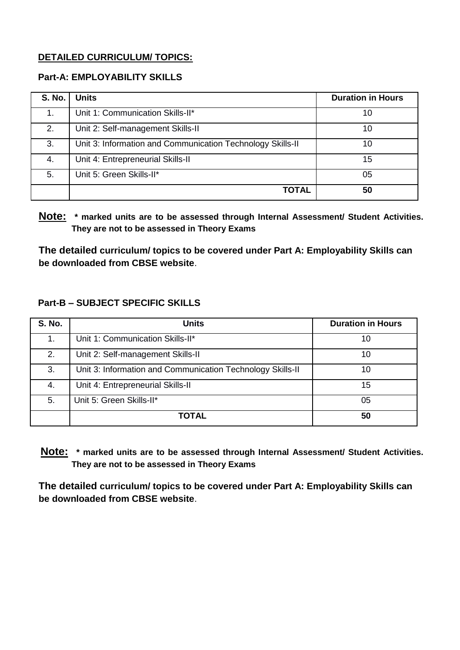### **DETAILED CURRICULUM/ TOPICS:**

### **Part-A: EMPLOYABILITY SKILLS**

| <b>S. No.</b> | Units                                                      | <b>Duration in Hours</b> |
|---------------|------------------------------------------------------------|--------------------------|
|               | Unit 1: Communication Skills-II*                           | 10                       |
| 2.            | Unit 2: Self-management Skills-II                          | 10                       |
| 3.            | Unit 3: Information and Communication Technology Skills-II | 10                       |
| 4.            | Unit 4: Entrepreneurial Skills-II                          | 15                       |
| 5.            | Unit 5: Green Skills-II*                                   | 05                       |
|               | <b>TOTAL</b>                                               | 50                       |

**Note: \* marked units are to be assessed through Internal Assessment/ Student Activities. They are not to be assessed in Theory Exams** 

**The detailed curriculum/ topics to be covered under Part A: Employability Skills can be downloaded from CBSE website**.

### **Part-B – SUBJECT SPECIFIC SKILLS**

| <b>S. No.</b> | <b>Units</b>                                               | <b>Duration in Hours</b> |
|---------------|------------------------------------------------------------|--------------------------|
|               | Unit 1: Communication Skills-II*                           | 10                       |
| 2.            | Unit 2: Self-management Skills-II                          | 10                       |
| 3.            | Unit 3: Information and Communication Technology Skills-II | 10                       |
| 4.            | Unit 4: Entrepreneurial Skills-II                          | 15                       |
| 5.            | Unit 5: Green Skills-II*                                   | 05                       |
|               | <b>TOTAL</b>                                               | 50                       |

**Note: \* marked units are to be assessed through Internal Assessment/ Student Activities. They are not to be assessed in Theory Exams** 

**The detailed curriculum/ topics to be covered under Part A: Employability Skills can be downloaded from CBSE website**.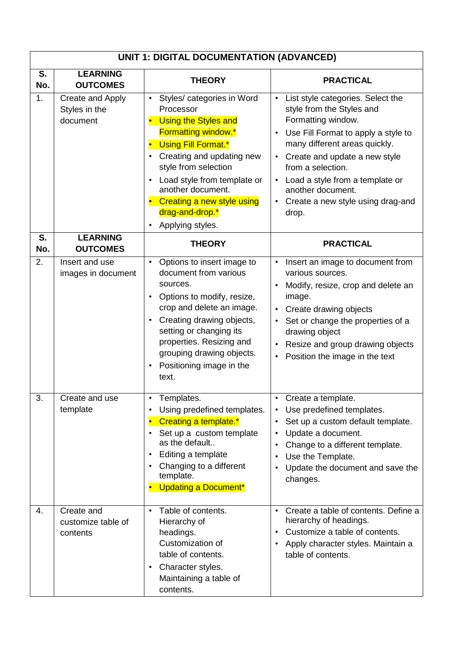|           | <b>UNIT 1: DIGITAL DOCUMENTATION (ADVANCED)</b> |                                                                                                                                                                                                                                                                                                                       |                                                                                                                                                                                                                                                                                                                                         |  |
|-----------|-------------------------------------------------|-----------------------------------------------------------------------------------------------------------------------------------------------------------------------------------------------------------------------------------------------------------------------------------------------------------------------|-----------------------------------------------------------------------------------------------------------------------------------------------------------------------------------------------------------------------------------------------------------------------------------------------------------------------------------------|--|
| S.<br>No. | <b>LEARNING</b><br><b>OUTCOMES</b>              | <b>THEORY</b>                                                                                                                                                                                                                                                                                                         | <b>PRACTICAL</b>                                                                                                                                                                                                                                                                                                                        |  |
| 1.        | Create and Apply<br>Styles in the<br>document   | Styles/ categories in Word<br>$\bullet$<br>Processor<br>• Using the Styles and<br><b>Formatting window.*</b><br>• Using Fill Format.*<br>Creating and updating new<br>style from selection<br>Load style from template or<br>another document.<br>• Creating a new style using<br>drag-and-drop.*<br>Applying styles. | List style categories. Select the<br>$\bullet$<br>style from the Styles and<br>Formatting window.<br>Use Fill Format to apply a style to<br>many different areas quickly.<br>Create and update a new style<br>from a selection.<br>Load a style from a template or<br>another document.<br>• Create a new style using drag-and<br>drop. |  |
| S.<br>No. | <b>LEARNING</b><br><b>OUTCOMES</b>              | <b>THEORY</b>                                                                                                                                                                                                                                                                                                         | <b>PRACTICAL</b>                                                                                                                                                                                                                                                                                                                        |  |
| 2.        | Insert and use<br>images in document            | Options to insert image to<br>$\bullet$<br>document from various<br>sources.<br>Options to modify, resize,<br>crop and delete an image.<br>Creating drawing objects,<br>setting or changing its<br>properties. Resizing and<br>grouping drawing objects.<br>Positioning image in the<br>text.                         | Insert an image to document from<br>various sources.<br>Modify, resize, crop and delete an<br>image.<br>Create drawing objects<br>Set or change the properties of a<br>drawing object<br>Resize and group drawing objects<br>Position the image in the text                                                                             |  |
| 3.        | Create and use<br>template                      | Templates.<br>٠<br>Using predefined templates.<br>Creating a template.*<br>Set up a custom template<br>as the default<br>Editing a template<br>Changing to a different<br>template.<br><b>Updating a Document*</b>                                                                                                    | Create a template.<br>Use predefined templates.<br>$\bullet$<br>Set up a custom default template.<br>Update a document.<br>Change to a different template.<br>Use the Template.<br>Update the document and save the<br>changes.                                                                                                         |  |
| 4.        | Create and<br>customize table of<br>contents    | Table of contents.<br>$\bullet$<br>Hierarchy of<br>headings.<br>Customization of<br>table of contents.<br>Character styles.<br>$\bullet$<br>Maintaining a table of<br>contents.                                                                                                                                       | Create a table of contents. Define a<br>$\bullet$<br>hierarchy of headings.<br>Customize a table of contents.<br>Apply character styles. Maintain a<br>table of contents.                                                                                                                                                               |  |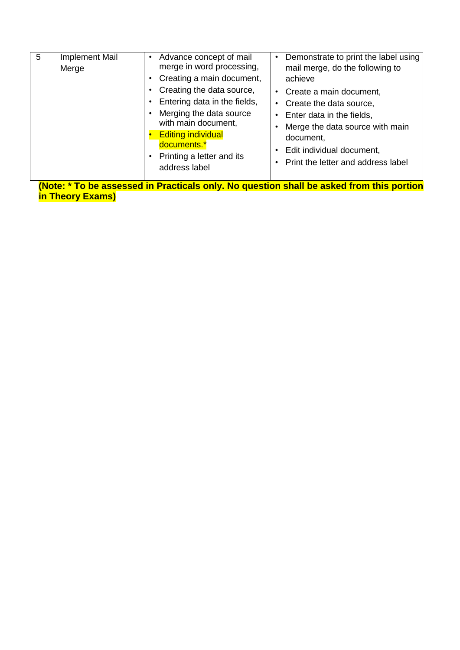| 5<br>$\mathbf{r}$ , $\mathbf{r}$ | <b>Implement Mail</b><br>Merge | Advance concept of mail<br>merge in word processing,<br>Creating a main document,<br>Creating the data source,<br>Entering data in the fields,<br>Merging the data source<br>with main document,<br><b>Editing individual</b><br>documents.*<br>Printing a letter and its<br>address label<br>.<br><b>SALES</b><br><b><i><u>ALCOHOL: 1999</u></i></b> | Demonstrate to print the label using<br>mail merge, do the following to<br>achieve<br>Create a main document,<br>Create the data source,<br>Enter data in the fields,<br>Merge the data source with main<br>document,<br>Edit individual document,<br>Print the letter and address label<br>.<br><b>SALES 1999</b><br>. |
|----------------------------------|--------------------------------|-------------------------------------------------------------------------------------------------------------------------------------------------------------------------------------------------------------------------------------------------------------------------------------------------------------------------------------------------------|-------------------------------------------------------------------------------------------------------------------------------------------------------------------------------------------------------------------------------------------------------------------------------------------------------------------------|
|----------------------------------|--------------------------------|-------------------------------------------------------------------------------------------------------------------------------------------------------------------------------------------------------------------------------------------------------------------------------------------------------------------------------------------------------|-------------------------------------------------------------------------------------------------------------------------------------------------------------------------------------------------------------------------------------------------------------------------------------------------------------------------|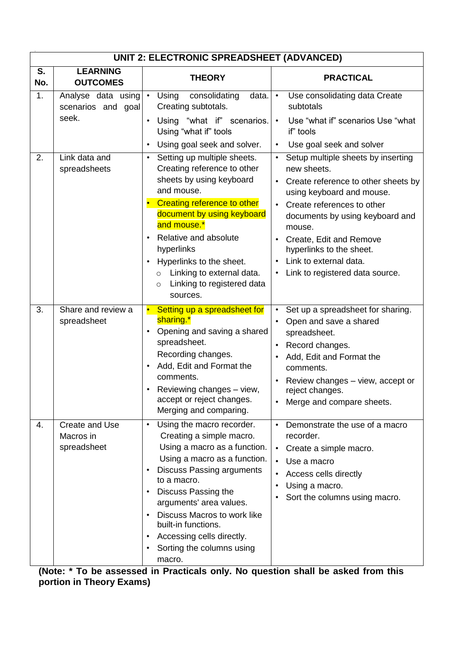|           | UNIT 2: ELECTRONIC SPREADSHEET (ADVANCED)                                  |                                                                                                                                                                                                                                                                                                                                                                                                                                    |                                                                                                                                                                                                                                                                                  |  |
|-----------|----------------------------------------------------------------------------|------------------------------------------------------------------------------------------------------------------------------------------------------------------------------------------------------------------------------------------------------------------------------------------------------------------------------------------------------------------------------------------------------------------------------------|----------------------------------------------------------------------------------------------------------------------------------------------------------------------------------------------------------------------------------------------------------------------------------|--|
| S.<br>No. | <b>LEARNING</b><br><b>OUTCOMES</b>                                         | <b>THEORY</b>                                                                                                                                                                                                                                                                                                                                                                                                                      | <b>PRACTICAL</b>                                                                                                                                                                                                                                                                 |  |
| 1.<br>2.  | Analyse data using $\cdot$<br>scenarios and goal<br>seek.<br>Link data and | consolidating<br>Using<br>data.<br>Creating subtotals.<br>Using "what if" scenarios.<br>$\bullet$<br>Using "what if" tools<br>Using goal seek and solver.<br>$\bullet$<br>Setting up multiple sheets.<br>$\bullet$                                                                                                                                                                                                                 | Use consolidating data Create<br>$\bullet$<br>subtotals<br>Use "what if" scenarios Use "what<br>if" tools<br>Use goal seek and solver<br>$\bullet$<br>Setup multiple sheets by inserting                                                                                         |  |
|           | spreadsheets                                                               | Creating reference to other<br>sheets by using keyboard<br>and mouse.<br>Creating reference to other<br>$\bullet$<br>document by using keyboard<br>and mouse.*<br>Relative and absolute<br>$\bullet$<br>hyperlinks<br>Hyperlinks to the sheet.<br>$\bullet$<br>Linking to external data.<br>$\circ$<br>Linking to registered data<br>$\circ$<br>sources.                                                                           | new sheets.<br>Create reference to other sheets by<br>using keyboard and mouse.<br>Create references to other<br>documents by using keyboard and<br>mouse.<br>• Create, Edit and Remove<br>hyperlinks to the sheet.<br>Link to external data.<br>Link to registered data source. |  |
| 3.        | Share and review a<br>spreadsheet                                          | Setting up a spreadsheet for<br>$\bullet$<br>sharing.*<br>Opening and saving a shared<br>$\bullet$<br>spreadsheet.<br>Recording changes.<br>Add, Edit and Format the<br>$\bullet$<br>comments.<br>Reviewing changes - view,<br>accept or reject changes.<br>Merging and comparing.                                                                                                                                                 | Set up a spreadsheet for sharing.<br>$\bullet$<br>Open and save a shared<br>$\bullet$<br>spreadsheet.<br>Record changes.<br>$\bullet$<br>Add, Edit and Format the<br>comments.<br>Review changes - view, accept or<br>reject changes.<br>Merge and compare sheets.               |  |
| 4.        | Create and Use<br>Macros in<br>spreadsheet                                 | Using the macro recorder.<br>$\bullet$<br>Creating a simple macro.<br>Using a macro as a function.<br>Using a macro as a function.<br><b>Discuss Passing arguments</b><br>$\bullet$<br>to a macro.<br>Discuss Passing the<br>$\bullet$<br>arguments' area values.<br>Discuss Macros to work like<br>$\bullet$<br>built-in functions.<br>Accessing cells directly.<br>$\bullet$<br>Sorting the columns using<br>$\bullet$<br>macro. | Demonstrate the use of a macro<br>$\bullet$<br>recorder.<br>Create a simple macro.<br>$\bullet$<br>Use a macro<br>$\bullet$<br>Access cells directly<br>Using a macro.<br>Sort the columns using macro.                                                                          |  |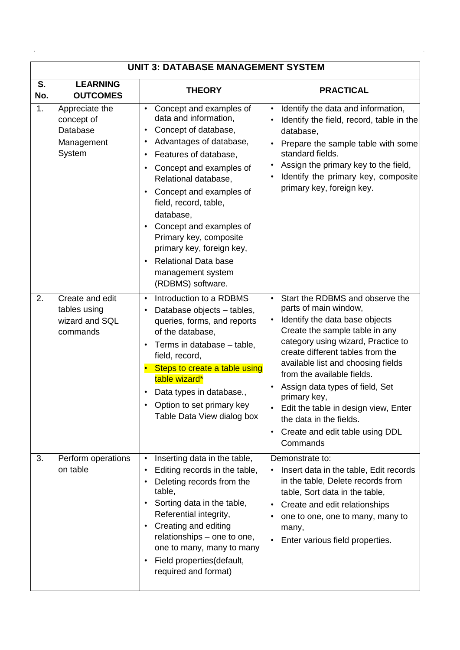|           | <b>UNIT 3: DATABASE MANAGEMENT SYSTEM</b>                        |                                                                                                                                                                                                                                                                                                                                                                                                                          |                                                                                                                                                                                                                                                                                                                                                                                                                                                                                                     |  |
|-----------|------------------------------------------------------------------|--------------------------------------------------------------------------------------------------------------------------------------------------------------------------------------------------------------------------------------------------------------------------------------------------------------------------------------------------------------------------------------------------------------------------|-----------------------------------------------------------------------------------------------------------------------------------------------------------------------------------------------------------------------------------------------------------------------------------------------------------------------------------------------------------------------------------------------------------------------------------------------------------------------------------------------------|--|
| S.<br>No. | <b>LEARNING</b><br><b>OUTCOMES</b>                               | <b>THEORY</b>                                                                                                                                                                                                                                                                                                                                                                                                            | <b>PRACTICAL</b>                                                                                                                                                                                                                                                                                                                                                                                                                                                                                    |  |
| 1.        | Appreciate the<br>concept of<br>Database<br>Management<br>System | Concept and examples of<br>$\bullet$<br>data and information,<br>Concept of database,<br>Advantages of database,<br>Features of database,<br>Concept and examples of<br>Relational database,<br>Concept and examples of<br>field, record, table,<br>database.<br>Concept and examples of<br>Primary key, composite<br>primary key, foreign key,<br><b>Relational Data base</b><br>management system<br>(RDBMS) software. | Identify the data and information,<br>$\bullet$<br>Identify the field, record, table in the<br>$\bullet$<br>database,<br>Prepare the sample table with some<br>standard fields.<br>Assign the primary key to the field,<br>$\bullet$<br>Identify the primary key, composite<br>$\bullet$<br>primary key, foreign key.                                                                                                                                                                               |  |
| 2.        | Create and edit<br>tables using<br>wizard and SQL<br>commands    | Introduction to a RDBMS<br>$\bullet$<br>Database objects - tables,<br>$\bullet$<br>queries, forms, and reports<br>of the database,<br>Terms in database - table,<br>field, record,<br>Steps to create a table using<br>table wizard*<br>Data types in database.,<br>Option to set primary key<br>Table Data View dialog box                                                                                              | Start the RDBMS and observe the<br>$\bullet$<br>parts of main window,<br>Identify the data base objects<br>$\bullet$<br>Create the sample table in any<br>category using wizard, Practice to<br>create different tables from the<br>available list and choosing fields<br>from the available fields.<br>Assign data types of field, Set<br>primary key,<br>Edit the table in design view, Enter<br>$\bullet$<br>the data in the fields.<br>Create and edit table using DDL<br>$\bullet$<br>Commands |  |
| 3.        | Perform operations<br>on table                                   | Inserting data in the table,<br>$\bullet$<br>Editing records in the table,<br>Deleting records from the<br>table,<br>Sorting data in the table,<br>Referential integrity,<br>Creating and editing<br>relationships - one to one,<br>one to many, many to many<br>Field properties(default,<br>required and format)                                                                                                       | Demonstrate to:<br>Insert data in the table, Edit records<br>in the table, Delete records from<br>table, Sort data in the table,<br>Create and edit relationships<br>$\bullet$<br>one to one, one to many, many to<br>٠<br>many,<br>Enter various field properties.<br>$\bullet$                                                                                                                                                                                                                    |  |

 $\frac{1}{2}$ 

 $\label{eq:2.1} \frac{1}{\sqrt{2}}\int_{\mathbb{R}^3}\frac{1}{\sqrt{2}}\left(\frac{1}{\sqrt{2}}\right)^2\frac{1}{\sqrt{2}}\left(\frac{1}{\sqrt{2}}\right)^2\frac{1}{\sqrt{2}}\left(\frac{1}{\sqrt{2}}\right)^2\frac{1}{\sqrt{2}}\left(\frac{1}{\sqrt{2}}\right)^2.$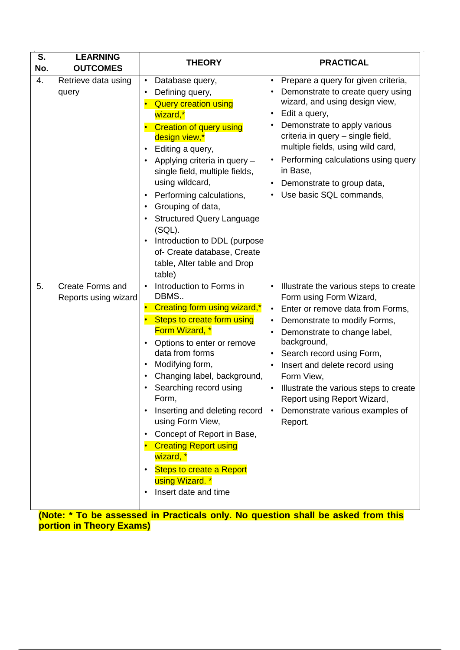| S.<br>No. | <b>LEARNING</b><br><b>OUTCOMES</b>              | <b>THEORY</b>                                                                                                                                                                                                                                                                                                                                                                                                                                                                                                                         | <b>PRACTICAL</b>                                                                                                                                                                                                                                                                                                                                                                                                                                                                                 |
|-----------|-------------------------------------------------|---------------------------------------------------------------------------------------------------------------------------------------------------------------------------------------------------------------------------------------------------------------------------------------------------------------------------------------------------------------------------------------------------------------------------------------------------------------------------------------------------------------------------------------|--------------------------------------------------------------------------------------------------------------------------------------------------------------------------------------------------------------------------------------------------------------------------------------------------------------------------------------------------------------------------------------------------------------------------------------------------------------------------------------------------|
| 4.        | Retrieve data using<br>query                    | Database query,<br>$\bullet$<br>Defining query,<br>$\bullet$<br><b>Query creation using</b><br>wizard,*<br><b>Creation of query using</b><br>design view,*<br>Editing a query,<br>$\bullet$<br>Applying criteria in query -<br>$\bullet$<br>single field, multiple fields,<br>using wildcard,<br>Performing calculations,<br>$\bullet$<br>Grouping of data,<br>$\bullet$<br><b>Structured Query Language</b><br>(SQL).<br>Introduction to DDL (purpose<br>of- Create database, Create<br>table, Alter table and Drop<br>table)        | Prepare a query for given criteria,<br>$\bullet$<br>Demonstrate to create query using<br>wizard, and using design view,<br>Edit a query,<br>$\bullet$<br>Demonstrate to apply various<br>$\bullet$<br>criteria in query - single field,<br>multiple fields, using wild card,<br>Performing calculations using query<br>$\bullet$<br>in Base,<br>Demonstrate to group data,<br>$\bullet$<br>Use basic SQL commands,<br>$\bullet$                                                                  |
| 5.        | <b>Create Forms and</b><br>Reports using wizard | Introduction to Forms in<br>$\bullet$<br>DBMS<br>Creating form using wizard,*<br>$\bullet$<br>Steps to create form using<br>Form Wizard, *<br>Options to enter or remove<br>data from forms<br>Modifying form,<br>$\bullet$<br>Changing label, background,<br>$\bullet$<br>Searching record using<br>Form,<br>Inserting and deleting record<br>using Form View,<br>Concept of Report in Base,<br>$\bullet$<br><b>Creating Report using</b><br>wizard, *<br><b>Steps to create a Report</b><br>using Wizard. *<br>Insert date and time | Illustrate the various steps to create<br>$\bullet$<br>Form using Form Wizard,<br>Enter or remove data from Forms,<br>$\bullet$<br>Demonstrate to modify Forms,<br>$\bullet$<br>Demonstrate to change label,<br>$\bullet$<br>background,<br>Search record using Form,<br>$\bullet$<br>Insert and delete record using<br>$\bullet$<br>Form View,<br>Illustrate the various steps to create<br>$\bullet$<br>Report using Report Wizard,<br>Demonstrate various examples of<br>$\bullet$<br>Report. |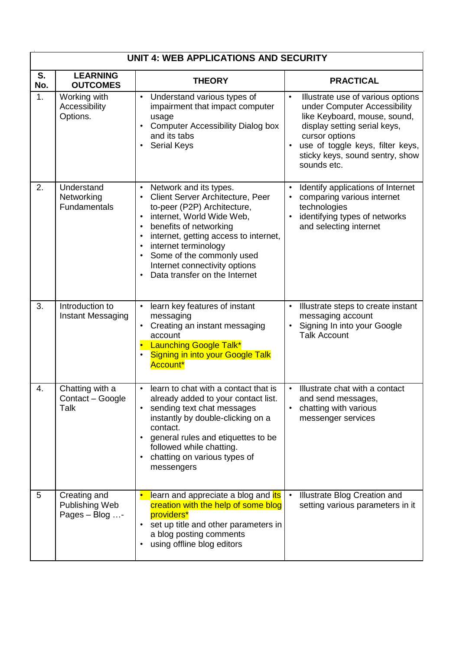|           | <b>UNIT 4: WEB APPLICATIONS AND SECURITY</b>                |                                                                                                                                                                                                                                                                                                                                                                                                             |                                                                                                                                                                                                                                                                     |  |
|-----------|-------------------------------------------------------------|-------------------------------------------------------------------------------------------------------------------------------------------------------------------------------------------------------------------------------------------------------------------------------------------------------------------------------------------------------------------------------------------------------------|---------------------------------------------------------------------------------------------------------------------------------------------------------------------------------------------------------------------------------------------------------------------|--|
| S.<br>No. | <b>LEARNING</b><br><b>OUTCOMES</b>                          | <b>THEORY</b>                                                                                                                                                                                                                                                                                                                                                                                               | <b>PRACTICAL</b>                                                                                                                                                                                                                                                    |  |
| 1.        | Working with<br>Accessibility<br>Options.                   | Understand various types of<br>$\bullet$<br>impairment that impact computer<br>usage<br><b>Computer Accessibility Dialog box</b><br>$\bullet$<br>and its tabs<br><b>Serial Keys</b><br>$\bullet$                                                                                                                                                                                                            | $\bullet$<br>Illustrate use of various options<br>under Computer Accessibility<br>like Keyboard, mouse, sound,<br>display setting serial keys,<br>cursor options<br>use of toggle keys, filter keys,<br>$\bullet$<br>sticky keys, sound sentry, show<br>sounds etc. |  |
| 2.        | Understand<br>Networking<br><b>Fundamentals</b>             | Network and its types.<br>$\bullet$<br>Client Server Architecture, Peer<br>$\bullet$<br>to-peer (P2P) Architecture,<br>internet, World Wide Web,<br>$\bullet$<br>benefits of networking<br>$\bullet$<br>internet, getting access to internet,<br>$\bullet$<br>internet terminology<br>$\bullet$<br>Some of the commonly used<br>Internet connectivity options<br>Data transfer on the Internet<br>$\bullet$ | Identify applications of Internet<br>$\bullet$<br>comparing various internet<br>$\bullet$<br>technologies<br>identifying types of networks<br>$\bullet$<br>and selecting internet                                                                                   |  |
| 3.        | Introduction to<br><b>Instant Messaging</b>                 | learn key features of instant<br>$\bullet$<br>messaging<br>Creating an instant messaging<br>$\bullet$<br>account<br><b>Launching Google Talk*</b><br><b>Signing in into your Google Talk</b><br>$\bullet$<br>Account*                                                                                                                                                                                       | Illustrate steps to create instant<br>messaging account<br>Signing In into your Google<br><b>Talk Account</b>                                                                                                                                                       |  |
| 4.        | Chatting with a<br>Contact - Google<br>Talk                 | learn to chat with a contact that is<br>$\bullet$<br>already added to your contact list.<br>sending text chat messages<br>instantly by double-clicking on a<br>contact.<br>general rules and etiquettes to be<br>$\bullet$<br>followed while chatting.<br>chatting on various types of<br>$\bullet$<br>messengers                                                                                           | Illustrate chat with a contact<br>$\bullet$<br>and send messages,<br>chatting with various<br>messenger services                                                                                                                                                    |  |
| 5         | Creating and<br>Publishing Web<br>Pages $-$ Blog $\ldots$ - | learn and appreciate a blog and <i>its</i><br>creation with the help of some blog<br>providers*<br>set up title and other parameters in<br>$\bullet$<br>a blog posting comments<br>using offline blog editors<br>$\bullet$                                                                                                                                                                                  | Illustrate Blog Creation and<br>$\bullet$<br>setting various parameters in it                                                                                                                                                                                       |  |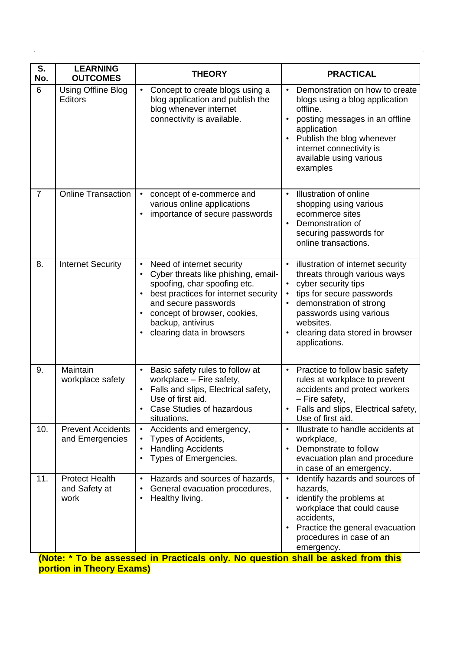| S.<br>No.      | <b>LEARNING</b><br><b>OUTCOMES</b>             | <b>THEORY</b>                                                                                                                                                                                                                                                                                          | <b>PRACTICAL</b>                                                                                                                                                                                                                                          |
|----------------|------------------------------------------------|--------------------------------------------------------------------------------------------------------------------------------------------------------------------------------------------------------------------------------------------------------------------------------------------------------|-----------------------------------------------------------------------------------------------------------------------------------------------------------------------------------------------------------------------------------------------------------|
| 6              | Using Offline Blog<br>Editors                  | Concept to create blogs using a<br>$\bullet$<br>blog application and publish the<br>blog whenever internet<br>connectivity is available.                                                                                                                                                               | Demonstration on how to create<br>$\bullet$<br>blogs using a blog application<br>offline.<br>posting messages in an offline<br>application<br>Publish the blog whenever<br>$\bullet$<br>internet connectivity is<br>available using various<br>examples   |
| $\overline{7}$ | <b>Online Transaction</b>                      | concept of e-commerce and<br>$\bullet$<br>various online applications<br>importance of secure passwords<br>$\bullet$                                                                                                                                                                                   | Illustration of online<br>$\bullet$<br>shopping using various<br>ecommerce sites<br>Demonstration of<br>$\bullet$<br>securing passwords for<br>online transactions.                                                                                       |
| 8.             | <b>Internet Security</b>                       | Need of internet security<br>$\bullet$<br>Cyber threats like phishing, email-<br>$\bullet$<br>spoofing, char spoofing etc.<br>best practices for internet security<br>$\bullet$<br>and secure passwords<br>concept of browser, cookies,<br>backup, antivirus<br>clearing data in browsers<br>$\bullet$ | illustration of internet security<br>$\bullet$<br>threats through various ways<br>cyber security tips<br>tips for secure passwords<br>demonstration of strong<br>passwords using various<br>websites.<br>clearing data stored in browser<br>applications. |
| 9.             | Maintain<br>workplace safety                   | Basic safety rules to follow at<br>$\bullet$<br>workplace - Fire safety,<br>Falls and slips, Electrical safety,<br>$\bullet$<br>Use of first aid.<br><b>Case Studies of hazardous</b><br>situations.                                                                                                   | Practice to follow basic safety<br>$\bullet$<br>rules at workplace to prevent<br>accidents and protect workers<br>- Fire safety,<br>Falls and slips, Electrical safety,<br>Use of first aid.                                                              |
| 10.            | <b>Prevent Accidents</b><br>and Emergencies    | Accidents and emergency,<br>$\bullet$<br>Types of Accidents,<br>$\bullet$<br><b>Handling Accidents</b><br>$\bullet$<br>Types of Emergencies.<br>$\bullet$                                                                                                                                              | Illustrate to handle accidents at<br>$\bullet$<br>workplace,<br>Demonstrate to follow<br>evacuation plan and procedure<br>in case of an emergency.                                                                                                        |
| 11.            | <b>Protect Health</b><br>and Safety at<br>work | Hazards and sources of hazards,<br>$\bullet$<br>General evacuation procedures,<br>Healthy living.                                                                                                                                                                                                      | Identify hazards and sources of<br>hazards,<br>identify the problems at<br>workplace that could cause<br>accidents,<br>Practice the general evacuation<br>procedures in case of an<br>emergency.                                                          |

 $\hat{\mathbf{z}}$ 

 $\mathcal{A}^{\mathcal{A}}$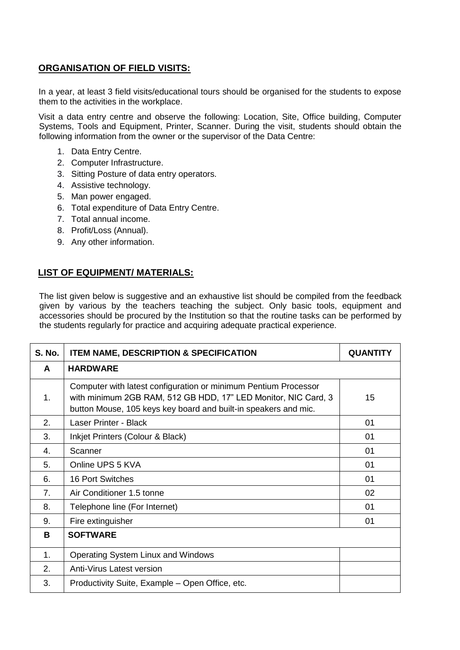### **ORGANISATION OF FIELD VISITS:**

In a year, at least 3 field visits/educational tours should be organised for the students to expose them to the activities in the workplace.

Visit a data entry centre and observe the following: Location, Site, Office building, Computer Systems, Tools and Equipment, Printer, Scanner. During the visit, students should obtain the following information from the owner or the supervisor of the Data Centre:

- 1. Data Entry Centre.
- 2. Computer Infrastructure.
- 3. Sitting Posture of data entry operators.
- 4. Assistive technology.
- 5. Man power engaged.
- 6. Total expenditure of Data Entry Centre.
- 7. Total annual income.
- 8. Profit/Loss (Annual).
- 9. Any other information.

### **LIST OF EQUIPMENT/ MATERIALS:**

The list given below is suggestive and an exhaustive list should be compiled from the feedback given by various by the teachers teaching the subject. Only basic tools, equipment and accessories should be procured by the Institution so that the routine tasks can be performed by the students regularly for practice and acquiring adequate practical experience.

| <b>S. No.</b>  | <b>ITEM NAME, DESCRIPTION &amp; SPECIFICATION</b>                                                                                                                                                    | <b>QUANTITY</b> |
|----------------|------------------------------------------------------------------------------------------------------------------------------------------------------------------------------------------------------|-----------------|
| A              | <b>HARDWARE</b>                                                                                                                                                                                      |                 |
| 1.             | Computer with latest configuration or minimum Pentium Processor<br>with minimum 2GB RAM, 512 GB HDD, 17" LED Monitor, NIC Card, 3<br>button Mouse, 105 keys key board and built-in speakers and mic. | 15              |
| 2.             | Laser Printer - Black                                                                                                                                                                                | 01              |
| 3.             | Inkjet Printers (Colour & Black)                                                                                                                                                                     | 01              |
| 4.             | Scanner                                                                                                                                                                                              | 01              |
| 5.             | Online UPS 5 KVA                                                                                                                                                                                     | 01              |
| 6.             | 16 Port Switches                                                                                                                                                                                     | 01              |
| 7 <sub>1</sub> | Air Conditioner 1.5 tonne                                                                                                                                                                            | 02              |
| 8.             | Telephone line (For Internet)                                                                                                                                                                        | 01              |
| 9.             | Fire extinguisher                                                                                                                                                                                    | 01              |
| B.             | <b>SOFTWARE</b>                                                                                                                                                                                      |                 |
| 1 <sub>1</sub> | Operating System Linux and Windows                                                                                                                                                                   |                 |
| 2.             | Anti-Virus Latest version                                                                                                                                                                            |                 |
| 3.             | Productivity Suite, Example – Open Office, etc.                                                                                                                                                      |                 |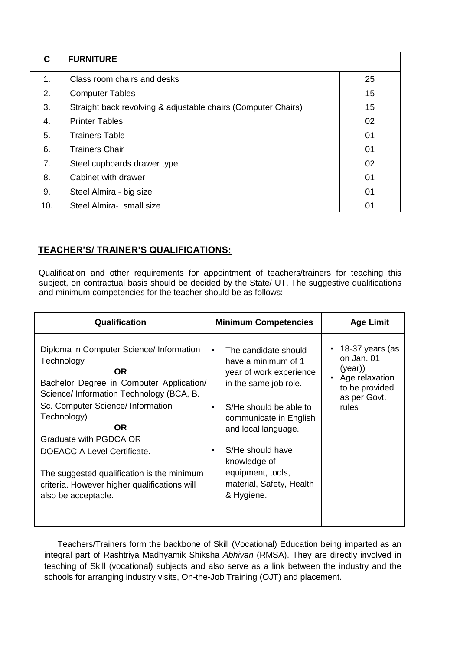| C   | <b>FURNITURE</b>                                              |    |
|-----|---------------------------------------------------------------|----|
| 1.  | Class room chairs and desks                                   | 25 |
| 2.  | <b>Computer Tables</b>                                        | 15 |
| 3.  | Straight back revolving & adjustable chairs (Computer Chairs) | 15 |
| 4.  | <b>Printer Tables</b>                                         | 02 |
| 5.  | <b>Trainers Table</b>                                         | 01 |
| 6.  | <b>Trainers Chair</b>                                         | 01 |
| 7.  | Steel cupboards drawer type                                   | 02 |
| 8.  | Cabinet with drawer                                           | 01 |
| 9.  | Steel Almira - big size                                       | 01 |
| 10. | Steel Almira- small size                                      | 01 |

### **TEACHER'S/ TRAINER'S QUALIFICATIONS:**

Qualification and other requirements for appointment of teachers/trainers for teaching this subject, on contractual basis should be decided by the State/ UT. The suggestive qualifications and minimum competencies for the teacher should be as follows:

| <b>Qualification</b>                                                                                                                                                                                                                                                                                                                                                                          | <b>Minimum Competencies</b>                                                                                                                                                                                                                                                                | <b>Age Limit</b>                                                                                     |
|-----------------------------------------------------------------------------------------------------------------------------------------------------------------------------------------------------------------------------------------------------------------------------------------------------------------------------------------------------------------------------------------------|--------------------------------------------------------------------------------------------------------------------------------------------------------------------------------------------------------------------------------------------------------------------------------------------|------------------------------------------------------------------------------------------------------|
| Diploma in Computer Science/ Information<br>Technology<br>OR<br>Bachelor Degree in Computer Application/<br>Science/ Information Technology (BCA, B.<br>Sc. Computer Science/ Information<br>Technology)<br>OR.<br>Graduate with PGDCA OR<br>DOEACC A Level Certificate.<br>The suggested qualification is the minimum<br>criteria. However higher qualifications will<br>also be acceptable. | The candidate should<br>$\bullet$<br>have a minimum of 1<br>year of work experience<br>in the same job role.<br>S/He should be able to<br>communicate in English<br>and local language.<br>S/He should have<br>knowledge of<br>equipment, tools,<br>material, Safety, Health<br>& Hygiene. | 18-37 years (as<br>on Jan. 01<br>(year)<br>Age relaxation<br>to be provided<br>as per Govt.<br>rules |

Teachers/Trainers form the backbone of Skill (Vocational) Education being imparted as an integral part of Rashtriya Madhyamik Shiksha *Abhiyan* (RMSA). They are directly involved in teaching of Skill (vocational) subjects and also serve as a link between the industry and the schools for arranging industry visits, On-the-Job Training (OJT) and placement.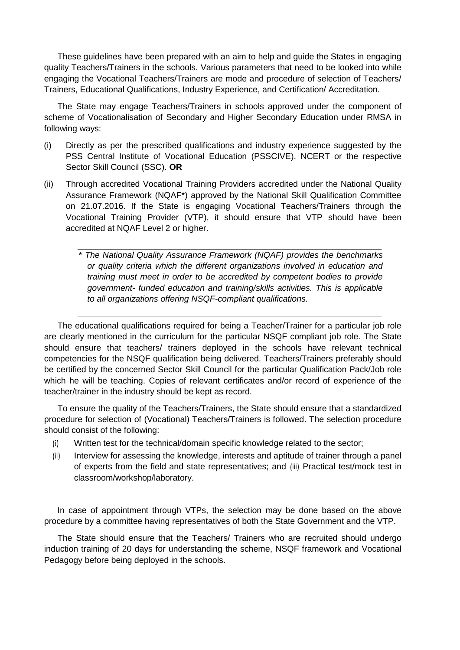These guidelines have been prepared with an aim to help and guide the States in engaging quality Teachers/Trainers in the schools. Various parameters that need to be looked into while engaging the Vocational Teachers/Trainers are mode and procedure of selection of Teachers/ Trainers, Educational Qualifications, Industry Experience, and Certification/ Accreditation.

The State may engage Teachers/Trainers in schools approved under the component of scheme of Vocationalisation of Secondary and Higher Secondary Education under RMSA in following ways:

- (i) Directly as per the prescribed qualifications and industry experience suggested by the PSS Central Institute of Vocational Education (PSSCIVE), NCERT or the respective Sector Skill Council (SSC). **OR**
- (ii) Through accredited Vocational Training Providers accredited under the National Quality Assurance Framework (NQAF\*) approved by the National Skill Qualification Committee on 21.07.2016. If the State is engaging Vocational Teachers/Trainers through the Vocational Training Provider (VTP), it should ensure that VTP should have been accredited at NQAF Level 2 or higher.

\* *The National Quality Assurance Framework (NQAF) provides the benchmarks or quality criteria which the different organizations involved in education and training must meet in order to be accredited by competent bodies to provide government- funded education and training/skills activities. This is applicable to all organizations offering NSQF-compliant qualifications.* 

The educational qualifications required for being a Teacher/Trainer for a particular job role are clearly mentioned in the curriculum for the particular NSQF compliant job role. The State should ensure that teachers/ trainers deployed in the schools have relevant technical competencies for the NSQF qualification being delivered. Teachers/Trainers preferably should be certified by the concerned Sector Skill Council for the particular Qualification Pack/Job role which he will be teaching. Copies of relevant certificates and/or record of experience of the teacher/trainer in the industry should be kept as record.

To ensure the quality of the Teachers/Trainers, the State should ensure that a standardized procedure for selection of (Vocational) Teachers/Trainers is followed. The selection procedure should consist of the following:

- (i) Written test for the technical/domain specific knowledge related to the sector;
- (ii) Interview for assessing the knowledge, interests and aptitude of trainer through a panel of experts from the field and state representatives; and (iii) Practical test/mock test in classroom/workshop/laboratory.

In case of appointment through VTPs, the selection may be done based on the above procedure by a committee having representatives of both the State Government and the VTP.

The State should ensure that the Teachers/ Trainers who are recruited should undergo induction training of 20 days for understanding the scheme, NSQF framework and Vocational Pedagogy before being deployed in the schools.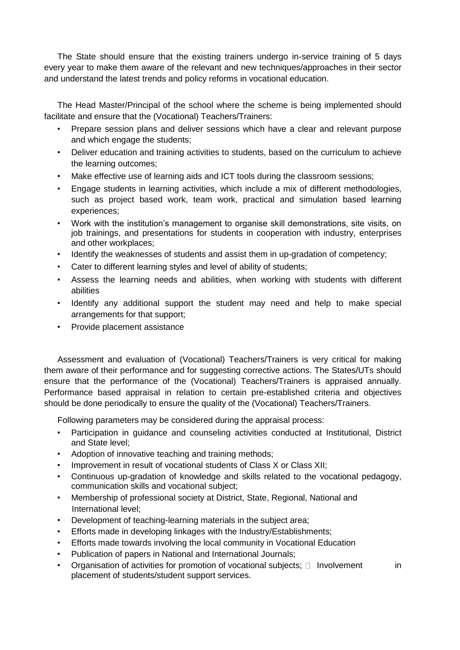The State should ensure that the existing trainers undergo in-service training of 5 days every year to make them aware of the relevant and new techniques/approaches in their sector and understand the latest trends and policy reforms in vocational education.

The Head Master/Principal of the school where the scheme is being implemented should facilitate and ensure that the (Vocational) Teachers/Trainers:

- Prepare session plans and deliver sessions which have a clear and relevant purpose and which engage the students;
- Deliver education and training activities to students, based on the curriculum to achieve the learning outcomes;
- Make effective use of learning aids and ICT tools during the classroom sessions:
- Engage students in learning activities, which include a mix of different methodologies, such as project based work, team work, practical and simulation based learning experiences;
- Work with the institution's management to organise skill demonstrations, site visits, on job trainings, and presentations for students in cooperation with industry, enterprises and other workplaces;
- Identify the weaknesses of students and assist them in up-gradation of competency;
- Cater to different learning styles and level of ability of students;
- Assess the learning needs and abilities, when working with students with different abilities
- Identify any additional support the student may need and help to make special arrangements for that support;
- Provide placement assistance

Assessment and evaluation of (Vocational) Teachers/Trainers is very critical for making them aware of their performance and for suggesting corrective actions. The States/UTs should ensure that the performance of the (Vocational) Teachers/Trainers is appraised annually. Performance based appraisal in relation to certain pre-established criteria and objectives should be done periodically to ensure the quality of the (Vocational) Teachers/Trainers.

Following parameters may be considered during the appraisal process:

- Participation in guidance and counseling activities conducted at Institutional, District and State level;
- Adoption of innovative teaching and training methods;
- Improvement in result of vocational students of Class X or Class XII;
- Continuous up-gradation of knowledge and skills related to the vocational pedagogy, communication skills and vocational subject;
- Membership of professional society at District, State, Regional, National and International level;
- Development of teaching-learning materials in the subject area;
- Efforts made in developing linkages with the Industry/Establishments;
- Efforts made towards involving the local community in Vocational Education
- Publication of papers in National and International Journals;
- Organisation of activities for promotion of vocational subjects;  $\Box$  Involvement in placement of students/student support services.